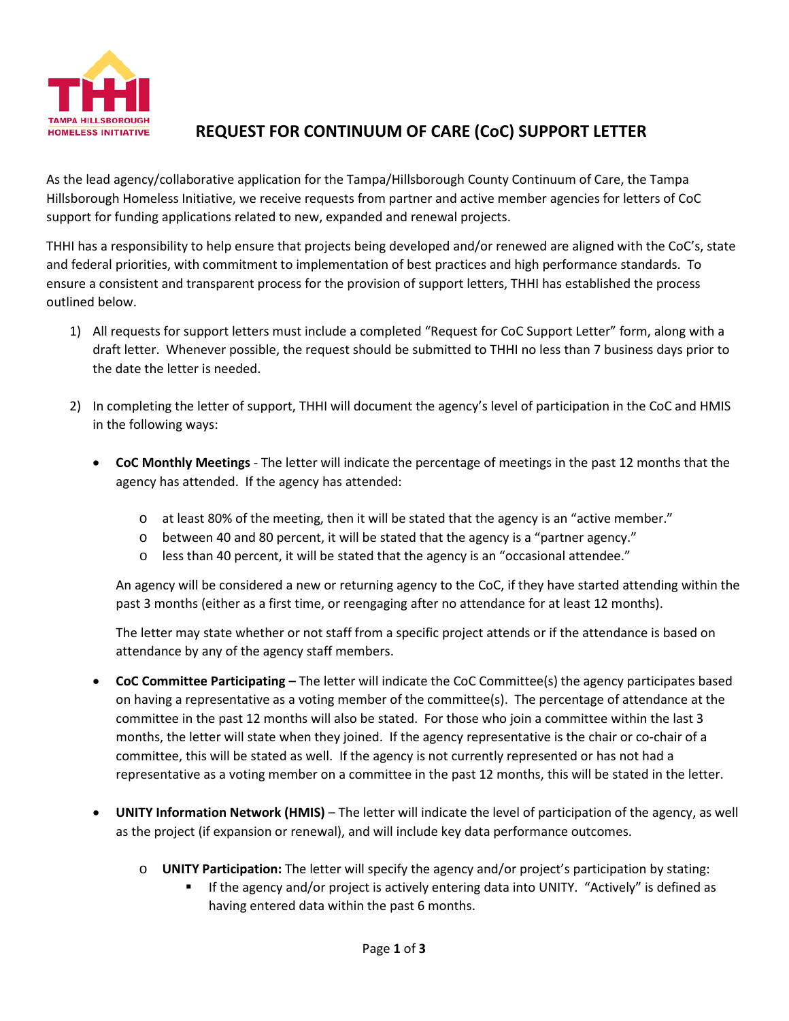

## **REQUEST FOR CONTINUUM OF CARE (CoC) SUPPORT LETTER**

As the lead agency/collaborative application for the Tampa/Hillsborough County Continuum of Care, the Tampa Hillsborough Homeless Initiative, we receive requests from partner and active member agencies for letters of CoC support for funding applications related to new, expanded and renewal projects.

THHI has a responsibility to help ensure that projects being developed and/or renewed are aligned with the CoC's, state and federal priorities, with commitment to implementation of best practices and high performance standards. To ensure a consistent and transparent process for the provision of support letters, THHI has established the process outlined below.

- 1) All requests for support letters must include a completed "Request for CoC Support Letter" form, along with a draft letter. Whenever possible, the request should be submitted to THHI no less than 7 business days prior to the date the letter is needed.
- 2) In completing the letter of support, THHI will document the agency's level of participation in the CoC and HMIS in the following ways:
	- **CoC Monthly Meetings** The letter will indicate the percentage of meetings in the past 12 months that the agency has attended. If the agency has attended:
		- o at least 80% of the meeting, then it will be stated that the agency is an "active member."
		- o between 40 and 80 percent, it will be stated that the agency is a "partner agency."
		- o less than 40 percent, it will be stated that the agency is an "occasional attendee."

An agency will be considered a new or returning agency to the CoC, if they have started attending within the past 3 months (either as a first time, or reengaging after no attendance for at least 12 months).

The letter may state whether or not staff from a specific project attends or if the attendance is based on attendance by any of the agency staff members.

- **CoC Committee Participating –** The letter will indicate the CoC Committee(s) the agency participates based on having a representative as a voting member of the committee(s). The percentage of attendance at the committee in the past 12 months will also be stated. For those who join a committee within the last 3 months, the letter will state when they joined. If the agency representative is the chair or co-chair of a committee, this will be stated as well. If the agency is not currently represented or has not had a representative as a voting member on a committee in the past 12 months, this will be stated in the letter.
- **UNITY Information Network (HMIS)** The letter will indicate the level of participation of the agency, as well as the project (if expansion or renewal), and will include key data performance outcomes.
	- o **UNITY Participation:** The letter will specify the agency and/or project's participation by stating:
		- If the agency and/or project is actively entering data into UNITY. "Actively" is defined as having entered data within the past 6 months.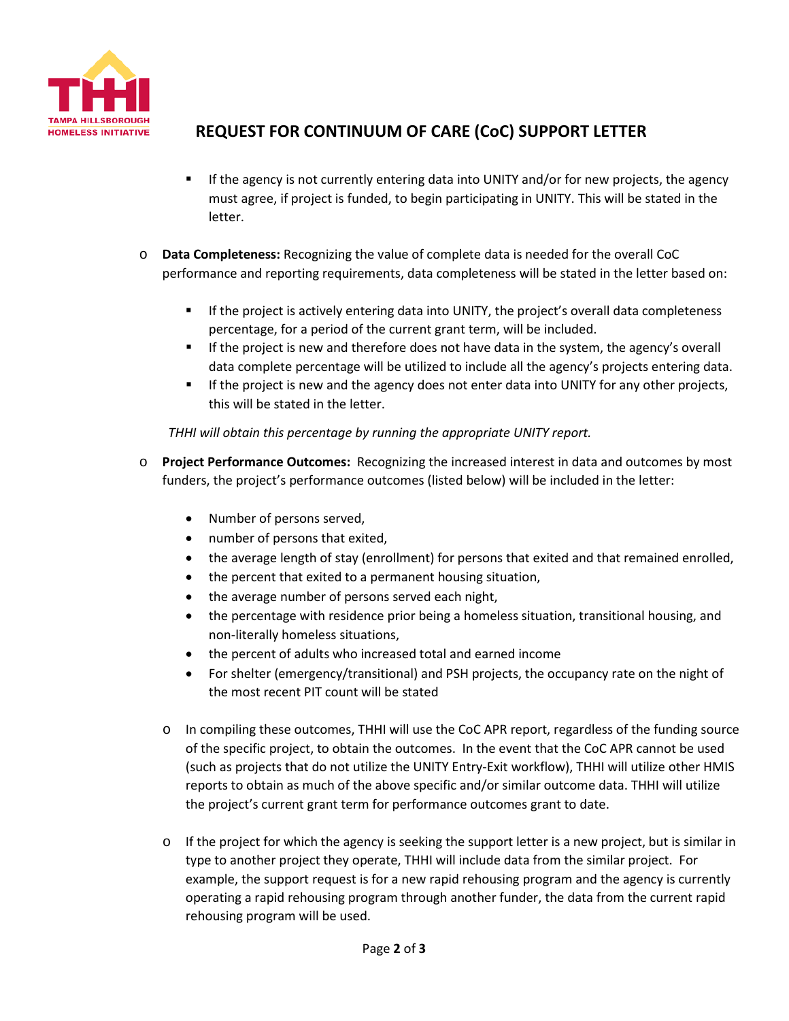

# **REQUEST FOR CONTINUUM OF CARE (CoC) SUPPORT LETTER**

- **If the agency is not currently entering data into UNITY and/or for new projects, the agency** must agree, if project is funded, to begin participating in UNITY. This will be stated in the letter.
- o **Data Completeness:** Recognizing the value of complete data is needed for the overall CoC performance and reporting requirements, data completeness will be stated in the letter based on:
	- **If the project is actively entering data into UNITY, the project's overall data completeness** percentage, for a period of the current grant term, will be included.
	- If the project is new and therefore does not have data in the system, the agency's overall data complete percentage will be utilized to include all the agency's projects entering data.
	- If the project is new and the agency does not enter data into UNITY for any other projects, this will be stated in the letter.

#### *THHI will obtain this percentage by running the appropriate UNITY report.*

- o **Project Performance Outcomes:** Recognizing the increased interest in data and outcomes by most funders, the project's performance outcomes (listed below) will be included in the letter:
	- Number of persons served,
	- number of persons that exited,
	- the average length of stay (enrollment) for persons that exited and that remained enrolled,
	- the percent that exited to a permanent housing situation,
	- the average number of persons served each night,
	- the percentage with residence prior being a homeless situation, transitional housing, and non-literally homeless situations,
	- the percent of adults who increased total and earned income
	- For shelter (emergency/transitional) and PSH projects, the occupancy rate on the night of the most recent PIT count will be stated
	- o In compiling these outcomes, THHI will use the CoC APR report, regardless of the funding source of the specific project, to obtain the outcomes. In the event that the CoC APR cannot be used (such as projects that do not utilize the UNITY Entry-Exit workflow), THHI will utilize other HMIS reports to obtain as much of the above specific and/or similar outcome data. THHI will utilize the project's current grant term for performance outcomes grant to date.
	- $\circ$  If the project for which the agency is seeking the support letter is a new project, but is similar in type to another project they operate, THHI will include data from the similar project. For example, the support request is for a new rapid rehousing program and the agency is currently operating a rapid rehousing program through another funder, the data from the current rapid rehousing program will be used.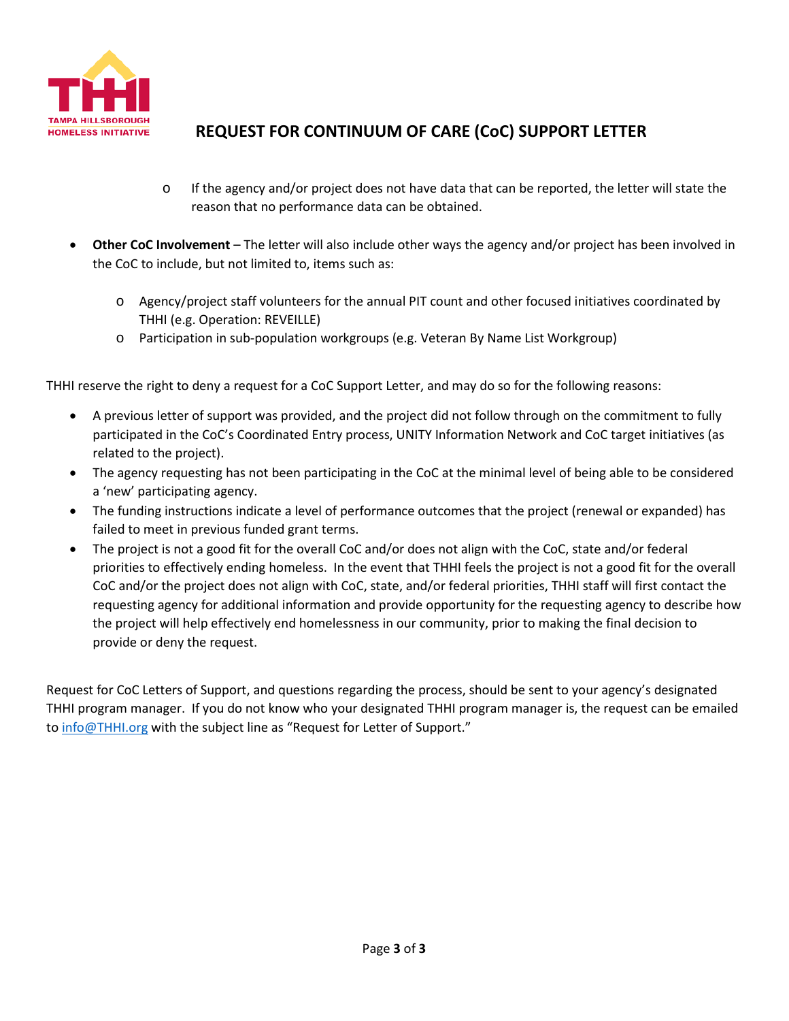

# **REQUEST FOR CONTINUUM OF CARE (CoC) SUPPORT LETTER**

- o If the agency and/or project does not have data that can be reported, the letter will state the reason that no performance data can be obtained.
- **Other CoC Involvement** The letter will also include other ways the agency and/or project has been involved in the CoC to include, but not limited to, items such as:
	- o Agency/project staff volunteers for the annual PIT count and other focused initiatives coordinated by THHI (e.g. Operation: REVEILLE)
	- o Participation in sub-population workgroups (e.g. Veteran By Name List Workgroup)

THHI reserve the right to deny a request for a CoC Support Letter, and may do so for the following reasons:

- A previous letter of support was provided, and the project did not follow through on the commitment to fully participated in the CoC's Coordinated Entry process, UNITY Information Network and CoC target initiatives (as related to the project).
- The agency requesting has not been participating in the CoC at the minimal level of being able to be considered a 'new' participating agency.
- The funding instructions indicate a level of performance outcomes that the project (renewal or expanded) has failed to meet in previous funded grant terms.
- The project is not a good fit for the overall CoC and/or does not align with the CoC, state and/or federal priorities to effectively ending homeless. In the event that THHI feels the project is not a good fit for the overall CoC and/or the project does not align with CoC, state, and/or federal priorities, THHI staff will first contact the requesting agency for additional information and provide opportunity for the requesting agency to describe how the project will help effectively end homelessness in our community, prior to making the final decision to provide or deny the request.

Request for CoC Letters of Support, and questions regarding the process, should be sent to your agency's designated THHI program manager. If you do not know who your designated THHI program manager is, the request can be emailed to [info@THHI.org](mailto:info@THHI.org) with the subject line as "Request for Letter of Support."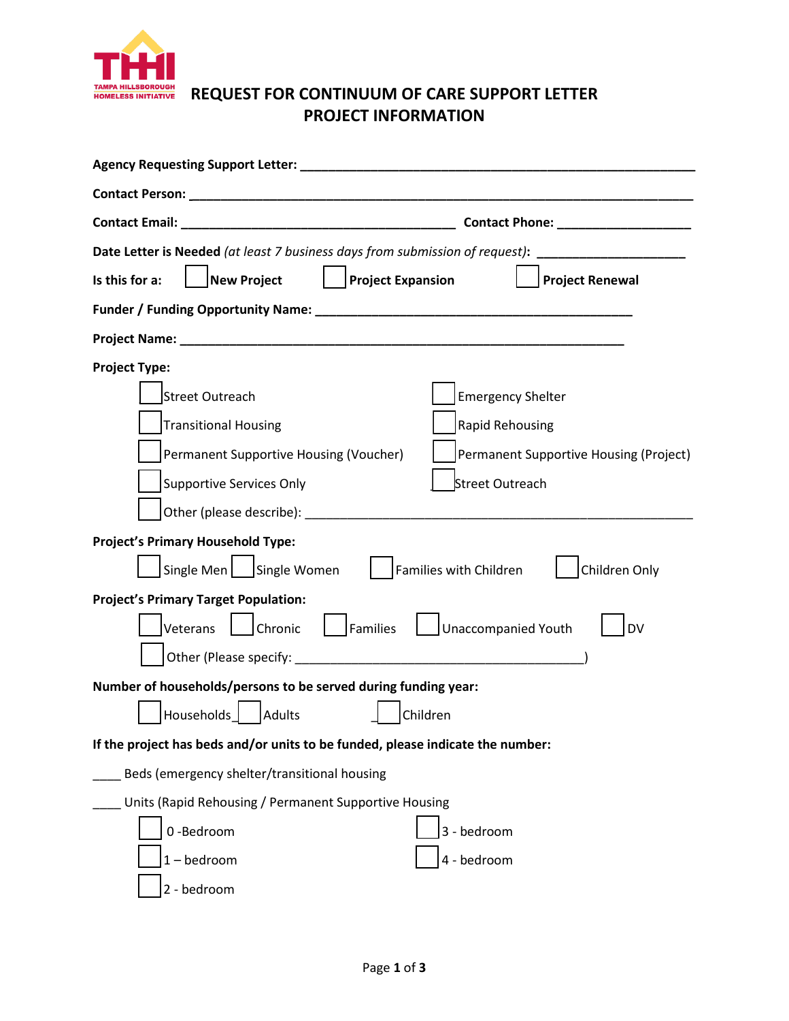

# **REQUEST FOR CONTINUUM OF CARE SUPPORT LETTER PROJECT INFORMATION**

| Contact Phone: ____________________                                                        |  |  |  |  |
|--------------------------------------------------------------------------------------------|--|--|--|--|
| <b>Date Letter is Needed</b> (at least 7 business days from submission of request):        |  |  |  |  |
| <b>Project Expansion</b><br><b>New Project</b><br>Is this for a:<br><b>Project Renewal</b> |  |  |  |  |
|                                                                                            |  |  |  |  |
|                                                                                            |  |  |  |  |
| <b>Project Type:</b>                                                                       |  |  |  |  |
| <b>Emergency Shelter</b><br><b>Street Outreach</b>                                         |  |  |  |  |
| <b>Transitional Housing</b><br>Rapid Rehousing                                             |  |  |  |  |
| Permanent Supportive Housing (Voucher)<br>Permanent Supportive Housing (Project)           |  |  |  |  |
| <b>Supportive Services Only</b><br><b>Street Outreach</b>                                  |  |  |  |  |
|                                                                                            |  |  |  |  |
| <b>Project's Primary Household Type:</b>                                                   |  |  |  |  |
| Single Men   Single Women<br>Families with Children<br>Children Only                       |  |  |  |  |
| <b>Project's Primary Target Population:</b>                                                |  |  |  |  |
| Families<br>Unaccompanied Youth<br>Veterans<br>Chronic<br><b>DV</b>                        |  |  |  |  |
|                                                                                            |  |  |  |  |
| Number of households/persons to be served during funding year:                             |  |  |  |  |
| Households<br>Adults<br>Children                                                           |  |  |  |  |
| If the project has beds and/or units to be funded, please indicate the number:             |  |  |  |  |
| Beds (emergency shelter/transitional housing                                               |  |  |  |  |
| Units (Rapid Rehousing / Permanent Supportive Housing                                      |  |  |  |  |
| 0-Bedroom<br>3 - bedroom                                                                   |  |  |  |  |
| 4 - bedroom<br>$1 - \text{bedroom}$                                                        |  |  |  |  |
| 2 - bedroom                                                                                |  |  |  |  |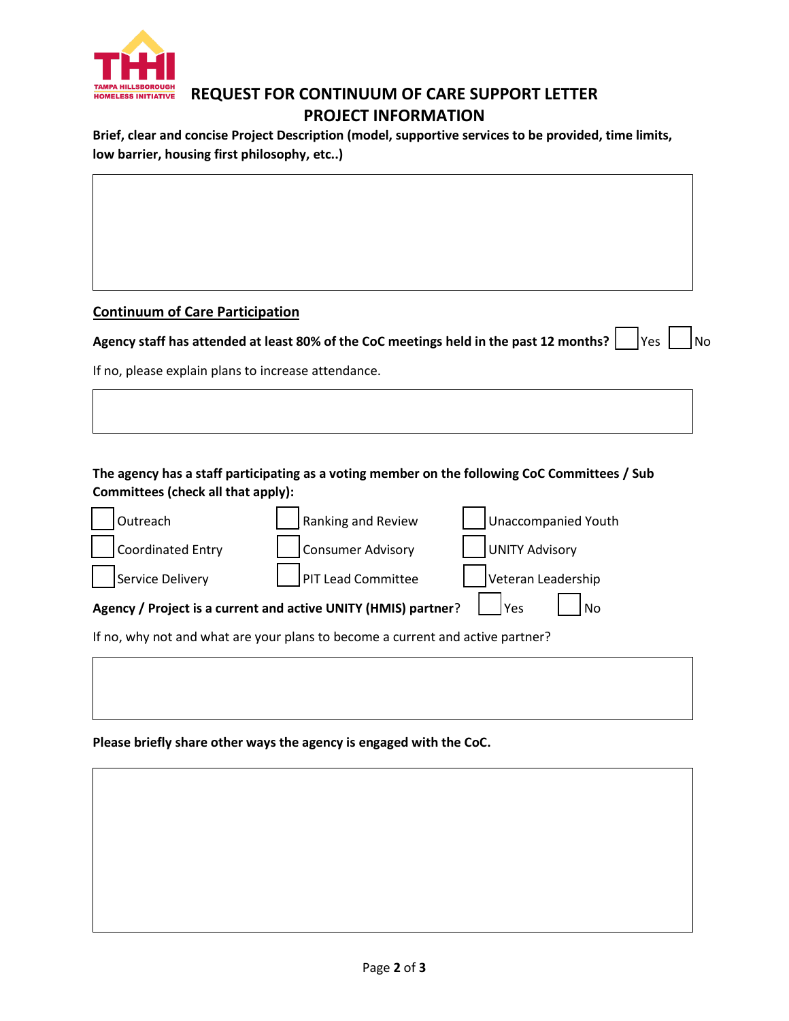

### **REQUEST FOR CONTINUUM OF CARE SUPPORT LETTER PROJECT INFORMATION**

**Brief, clear and concise Project Description (model, supportive services to be provided, time limits, low barrier, housing first philosophy, etc..)**

### **Continuum of Care Participation**

| Agency staff has attended at least 80% of the CoC meetings held in the past 12 months? $\Box$ Yes $\Box$ No |  |  |
|-------------------------------------------------------------------------------------------------------------|--|--|
|                                                                                                             |  |  |

If no, please explain plans to increase attendance.

### **The agency has a staff participating as a voting member on the following CoC Committees / Sub Committees (check all that apply):**

| Outreach                                                                       | Ranking and Review | Unaccompanied Youth |  |  |  |
|--------------------------------------------------------------------------------|--------------------|---------------------|--|--|--|
| <b>Coordinated Entry</b>                                                       | Consumer Advisory  | UNITY Advisory      |  |  |  |
| Service Delivery                                                               | PIT Lead Committee | Veteran Leadership  |  |  |  |
| Agency / Project is a current and active UNITY (HMIS) partner?<br>ΙΥρς<br>No   |                    |                     |  |  |  |
| If no, why not and what are your plans to become a current and active partner? |                    |                     |  |  |  |

**Please briefly share other ways the agency is engaged with the CoC.**